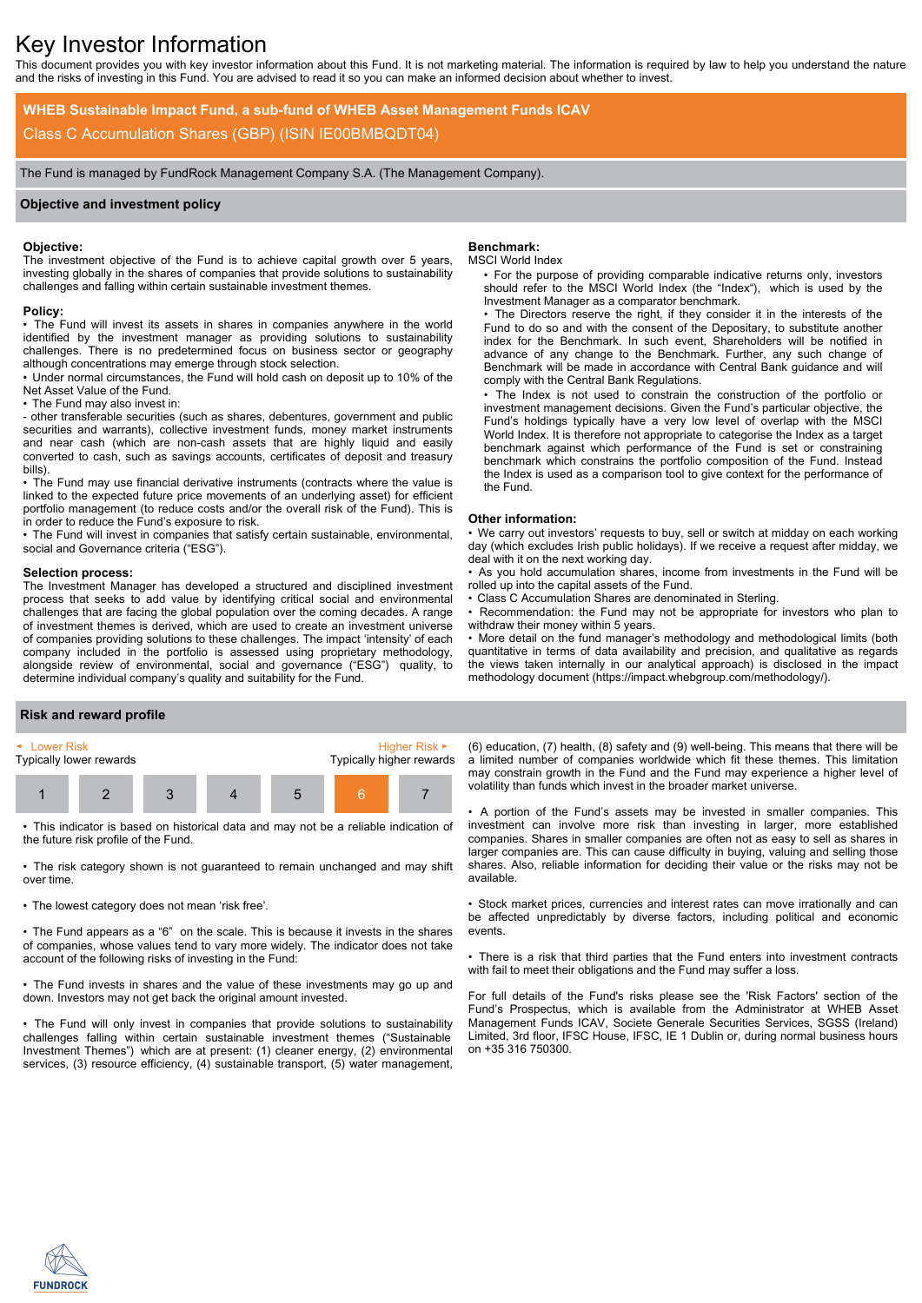# Key Investor Information

This document provides you with key investor information about this Fund. It is not marketing material. The information is required by law to help you understand the nature and the risks of investing in this Fund. You are advised to read it so you can make an informed decision about whether to invest.

**WHEB Sustainable Impact Fund, a sub-fund of WHEB Asset Management Funds ICAV** Class C Accumulation Shares (GBP) (ISIN IE00BMBQDT04)

The Fund is managed by FundRock Management Company S.A. (The Management Company).

## **Objective and investment policy**

## **Objective:**

The investment objective of the Fund is to achieve capital growth over 5 years, investing globally in the shares of companies that provide solutions to sustainability challenges and falling within certain sustainable investment themes.

#### **Policy:**

• The Fund will invest its assets in shares in companies anywhere in the world identified by the investment manager as providing solutions to sustainability challenges. There is no predetermined focus on business sector or geography although concentrations may emerge through stock selection.

• Under normal circumstances, the Fund will hold cash on deposit up to 10% of the Net Asset Value of the Fund.

• The Fund may also invest in:

- other transferable securities (such as shares, debentures, government and public securities and warrants), collective investment funds, money market instruments and near cash (which are non-cash assets that are highly liquid and easily converted to cash, such as savings accounts, certificates of deposit and treasury bills).

• The Fund may use financial derivative instruments (contracts where the value is linked to the expected future price movements of an underlying asset) for efficient portfolio management (to reduce costs and/or the overall risk of the Fund). This is in order to reduce the Fund's exposure to risk.

• The Fund will invest in companies that satisfy certain sustainable, environmental, social and Governance criteria ("ESG").

#### **Selection process:**

The Investment Manager has developed a structured and disciplined investment process that seeks to add value by identifying critical social and environmental challenges that are facing the global population over the coming decades. A range of investment themes is derived, which are used to create an investment universe of companies providing solutions to these challenges. The impact 'intensity' of each company included in the portfolio is assessed using proprietary methodology, alongside review of environmental, social and governance ("ESG") quality, to determine individual company's quality and suitability for the Fund.

## **Benchmark:**

### MSCI World Index

• For the purpose of providing comparable indicative returns only, investors should refer to the MSCI World Index (the "Index"), which is used by the Investment Manager as a comparator benchmark.

• The Directors reserve the right, if they consider it in the interests of the Fund to do so and with the consent of the Depositary, to substitute another index for the Benchmark. In such event, Shareholders will be notified in advance of any change to the Benchmark. Further, any such change of Benchmark will be made in accordance with Central Bank guidance and will comply with the Central Bank Regulations.

• The Index is not used to constrain the construction of the portfolio or investment management decisions. Given the Fund's particular objective, the Fund's holdings typically have a very low level of overlap with the MSCI World Index. It is therefore not appropriate to categorise the Index as a target benchmark against which performance of the Fund is set or constraining benchmark which constrains the portfolio composition of the Fund. Instead the Index is used as a comparison tool to give context for the performance of the Fund.

#### **Other information:**

• We carry out investors' requests to buy, sell or switch at midday on each working day (which excludes Irish public holidays). If we receive a request after midday, we deal with it on the next working day.

• As you hold accumulation shares, income from investments in the Fund will be rolled up into the capital assets of the Fund.

• Class C Accumulation Shares are denominated in Sterling.

Recommendation: the Fund may not be appropriate for investors who plan to withdraw their money within 5 years.

• More detail on the fund manager's methodology and methodological limits (both quantitative in terms of data availability and precision, and qualitative as regards the views taken internally in our analytical approach) is disclosed in the impact methodology document (https://impact.whebgroup.com/methodology/).

#### **Risk and reward profile**



• This indicator is based on historical data and may not be a reliable indication of the future risk profile of the Fund.

• The risk category shown is not guaranteed to remain unchanged and may shift over time.

• The lowest category does not mean 'risk free'.

• The Fund appears as a "6" on the scale. This is because it invests in the shares of companies, whose values tend to vary more widely. The indicator does not take account of the following risks of investing in the Fund:

• The Fund invests in shares and the value of these investments may go up and down. Investors may not get back the original amount invested.

• The Fund will only invest in companies that provide solutions to sustainability challenges falling within certain sustainable investment themes ("Sustainable Investment Themes") which are at present: (1) cleaner energy, (2) environmental services, (3) resource efficiency, (4) sustainable transport, (5) water management,

(6) education, (7) health, (8) safety and (9) well-being. This means that there will be a limited number of companies worldwide which fit these themes. This limitation may constrain growth in the Fund and the Fund may experience a higher level of volatility than funds which invest in the broader market universe.

• A portion of the Fund's assets may be invested in smaller companies. This investment can involve more risk than investing in larger, more established companies. Shares in smaller companies are often not as easy to sell as shares in larger companies are. This can cause difficulty in buying, valuing and selling those shares. Also, reliable information for deciding their value or the risks may not be available.

• Stock market prices, currencies and interest rates can move irrationally and can be affected unpredictably by diverse factors, including political and economic events.

• There is a risk that third parties that the Fund enters into investment contracts with fail to meet their obligations and the Fund may suffer a loss.

For full details of the Fund's risks please see the 'Risk Factors' section of the Fund's Prospectus, which is available from the Administrator at WHEB Asset Management Funds ICAV, Societe Generale Securities Services, SGSS (Ireland) Limited, 3rd floor, IFSC House, IFSC, IE 1 Dublin or, during normal business hours on +35 316 750300.